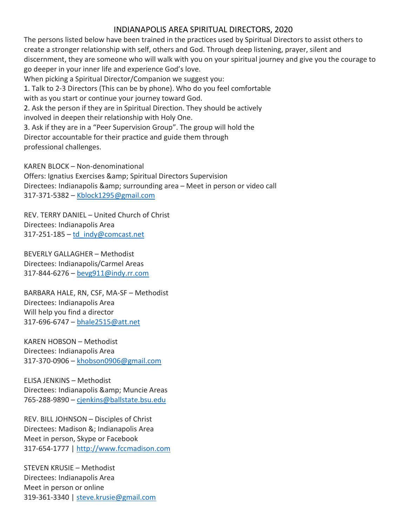## INDIANAPOLIS AREA SPIRITUAL DIRECTORS, 2020

The persons listed below have been trained in the practices used by Spiritual Directors to assist others to create a stronger relationship with self, others and God. Through deep listening, prayer, silent and discernment, they are someone who will walk with you on your spiritual journey and give you the courage to go deeper in your inner life and experience God's love. When picking a Spiritual Director/Companion we suggest you:

1. Talk to 2-3 Directors (This can be by phone). Who do you feel comfortable

with as you start or continue your journey toward God.

2. Ask the person if they are in Spiritual Direction. They should be actively involved in deepen their relationship with Holy One.

3. Ask if they are in a "Peer Supervision Group". The group will hold the Director accountable for their practice and guide them through professional challenges.

KAREN BLOCK – Non-denominational

Offers: Ignatius Exercises & amp; Spiritual Directors Supervision Directees: Indianapolis & amp; surrounding area - Meet in person or video call 317-371-5382 – Kblock1295@gmail.com

REV. TERRY DANIEL – United Church of Christ Directees: Indianapolis Area  $317-251-185 - td$  indy@comcast.net

BEVERLY GALLAGHER – Methodist Directees: Indianapolis/Carmel Areas 317-844-6276 – bevg911@indy.rr.com

BARBARA HALE, RN, CSF, MA-SF – Methodist Directees: Indianapolis Area Will help you find a director 317-696-6747 - bhale2515@att.net

KAREN HOBSON – Methodist Directees: Indianapolis Area 317-370-0906 – khobson0906@gmail.com

ELISA JENKINS – Methodist Directees: Indianapolis & amp; Muncie Areas 765-288-9890 – cjenkins@ballstate.bsu.edu

REV. BILL JOHNSON – Disciples of Christ Directees: Madison &; Indianapolis Area Meet in person, Skype or Facebook 317-654-1777 | http://www.fccmadison.com

STEVEN KRUSIE – Methodist Directees: Indianapolis Area Meet in person or online 319-361-3340 | steve.krusie@gmail.com